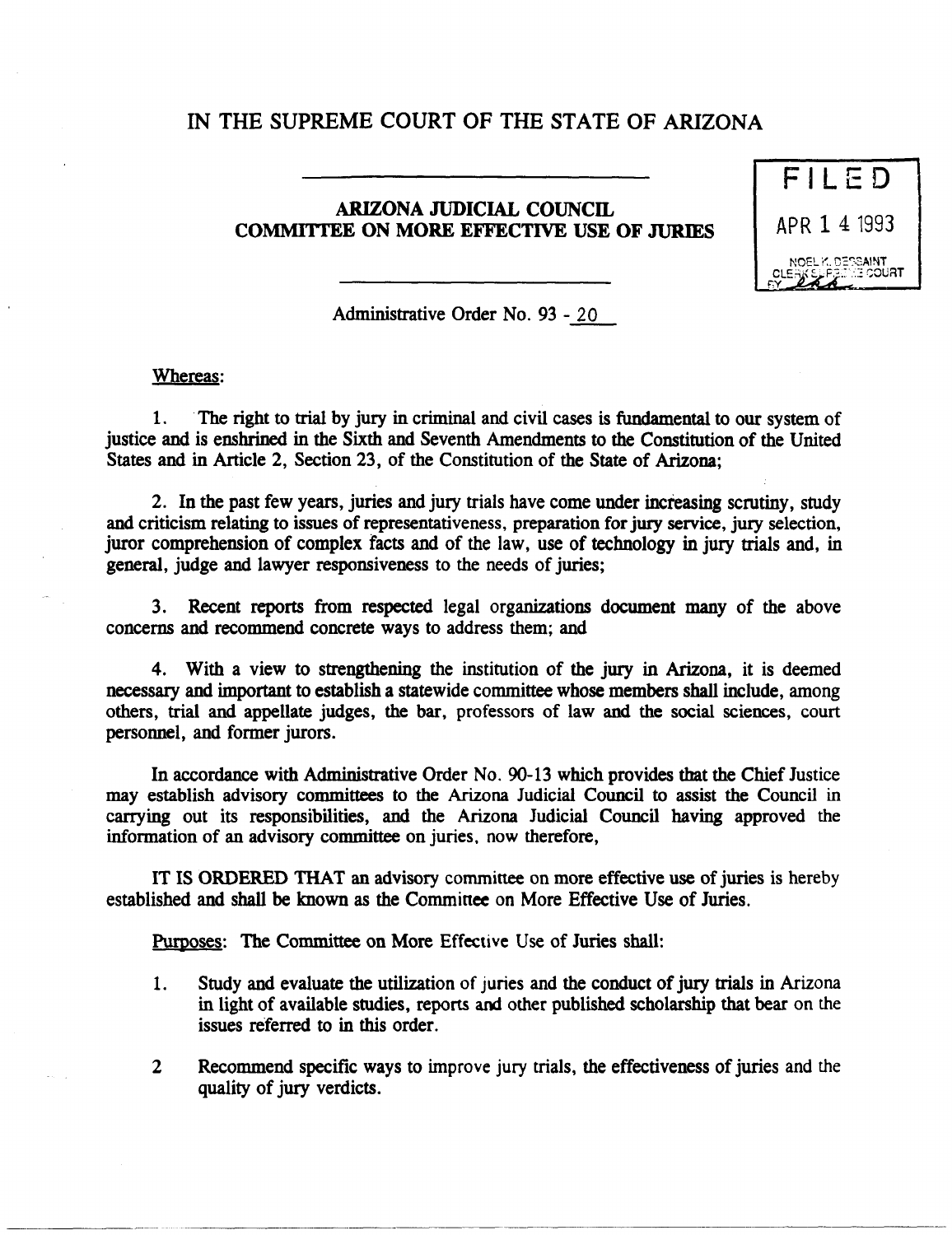## IN THE SUPREME COURT OF THE STATE OF ARIZONA

## ARIZONA JUDICIAL COUNCIL COMMITTEE ON MORE EFFECTIVE USE OF JURIES



Administrative Order No. 93 - 20

## Whereas:

1. The right to trial by jury in criminal and civil cases is fundamental to our system of justice and is enshrined in the Sixth and Seventh Amendments to the Constitution of the United States and in Article 2, Section 23, of the Constitution of the State of Arizona;

2. In the past few years, juries and jury trials have come under increasing scrutiny, study and criticism relating to issues of representativeness, preparation for jury service, jury selection, juror comprehension of complex facts and of the law, use of technology in jury trials and, in general, judge and lawyer responsiveness to the needs of juries;

3. Recent reports from respected legal organizations document many of the above concerns and recommend concrete ways to address them; and

4. With a view to strengthening the institution of the jury in Arizona, it is deemed necessary and important to establish a statewide committee whose members shall include, among others, trial and appellate judges, the bar, professors of law and the social sciences, court personnel, and former jurors.

In accordance with Administrative Order No. 90-13 which provides that the Chief Justice may establish advisory committees to the Arizona Judicial Council to assist the Council in carrying out its responsibilities, and the Arizona Judicial Council having approved the information of an advisory committee on juries. now therefore,

IT IS ORDERED THAT an advisory committee on more effective use of juries is hereby established and shall be known as the Comminee on More Effective Use of Juries.

Pumoses: The Committee on More Effective Use of Juries shall:

- 1. Study and evaluate the utilization of juries and the conduct of jury trials in Arizona in light of available studies, reports and other published scholarship that bear on the issues referred to in this order.
- 2 Recommend specific ways to improve jury trials, the effectiveness of juries and the quality of jury verdicts.